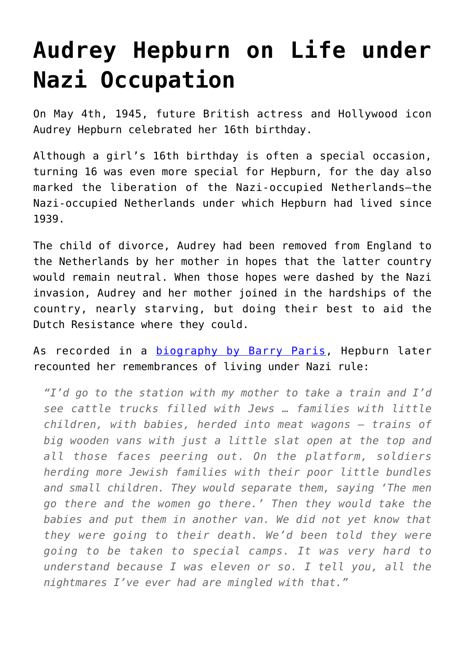## **[Audrey Hepburn on Life under](https://intellectualtakeout.org/2016/05/audrey-hepburn-on-life-under-nazi-occupation/) [Nazi Occupation](https://intellectualtakeout.org/2016/05/audrey-hepburn-on-life-under-nazi-occupation/)**

On May 4th, 1945, future British actress and Hollywood icon Audrey Hepburn celebrated her 16th birthday.

Although a girl's 16th birthday is often a special occasion, turning 16 was even more special for Hepburn, for the day also marked the liberation of the Nazi-occupied Netherlands—the Nazi-occupied Netherlands under which Hepburn had lived since 1939.

The child of divorce, Audrey had been removed from England to the Netherlands by her mother in hopes that the latter country would remain neutral. When those hopes were dashed by the Nazi invasion, Audrey and her mother joined in the hardships of the country, nearly starving, but doing their best to aid the Dutch Resistance where they could.

As recorded in a [biography by Barry Paris](http://www.amazon.com/gp/product/0425182126/ref=as_li_qf_sp_asin_il_tl?ie=UTF8&camp=1789&creative=9325&creativeASIN=0425182126&linkCode=as2&tag=intelltakeo0d-20&linkId=ZFOHUO7YQGDXZ32T), Hepburn later recounted her remembrances of living under Nazi rule:

*"I'd go to the station with my mother to take a train and I'd see cattle trucks filled with Jews … families with little children, with babies, herded into meat wagons – trains of big wooden vans with just a little slat open at the top and all those faces peering out. On the platform, soldiers herding more Jewish families with their poor little bundles and small children. They would separate them, saying 'The men go there and the women go there.' Then they would take the babies and put them in another van. We did not yet know that they were going to their death. We'd been told they were going to be taken to special camps. It was very hard to understand because I was eleven or so. I tell you, all the nightmares I've ever had are mingled with that."*